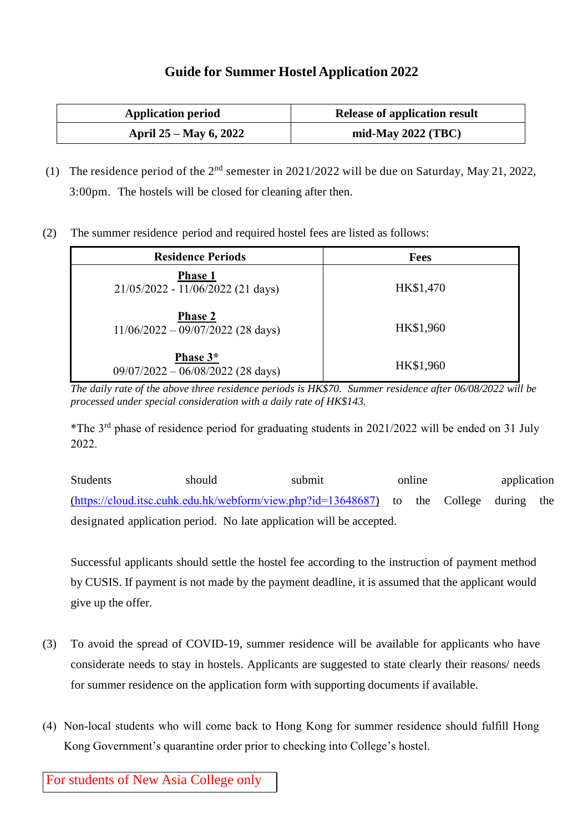## **Guide for Summer Hostel Application 2022**

| <b>Application period</b> | <b>Release of application result</b> |
|---------------------------|--------------------------------------|
| April 25 – May 6, 2022    | mid-May $2022$ (TBC)                 |

- (1) The residence period of the  $2<sup>nd</sup>$  semester in 2021/2022 will be due on Saturday, May 21, 2022, 3:00pm. The hostels will be closed for cleaning after then.
- (2) The summer residence period and required hostel fees are listed as follows:

| <b>Residence Periods</b>                              | <b>Fees</b> |
|-------------------------------------------------------|-------------|
| <b>Phase 1</b><br>21/05/2022 - 11/06/2022 (21 days)   | HK\$1,470   |
| <b>Phase 2</b><br>$11/06/2022 - 09/07/2022$ (28 days) | HK\$1,960   |
| Phase 3*<br>$09/07/2022 - 06/08/2022$ (28 days)       | HK\$1,960   |

*The daily rate of the above three residence periods is HK\$70. Summer residence after 06/08/2022 will be processed under special consideration with a daily rate of HK\$143.*

\*The 3rd phase of residence period for graduating students in 2021/2022 will be ended on 31 July 2022.

Students should submit online application [\(https://cloud.itsc.cuhk.edu.hk/webform/view.php?id=13648687\)](https://cloud.itsc.cuhk.edu.hk/webform/view.php?id=13648687) to the College during the designated application period. No late application will be accepted.

Successful applicants should settle the hostel fee according to the instruction of payment method by CUSIS. If payment is not made by the payment deadline, it is assumed that the applicant would give up the offer.

- (3) To avoid the spread of COVID-19, summer residence will be available for applicants who have considerate needs to stay in hostels. Applicants are suggested to state clearly their reasons/ needs for summer residence on the application form with supporting documents if available.
- (4) Non-local students who will come back to Hong Kong for summer residence should fulfill Hong Kong Government's quarantine order prior to checking into College's hostel.

For students of New Asia College only